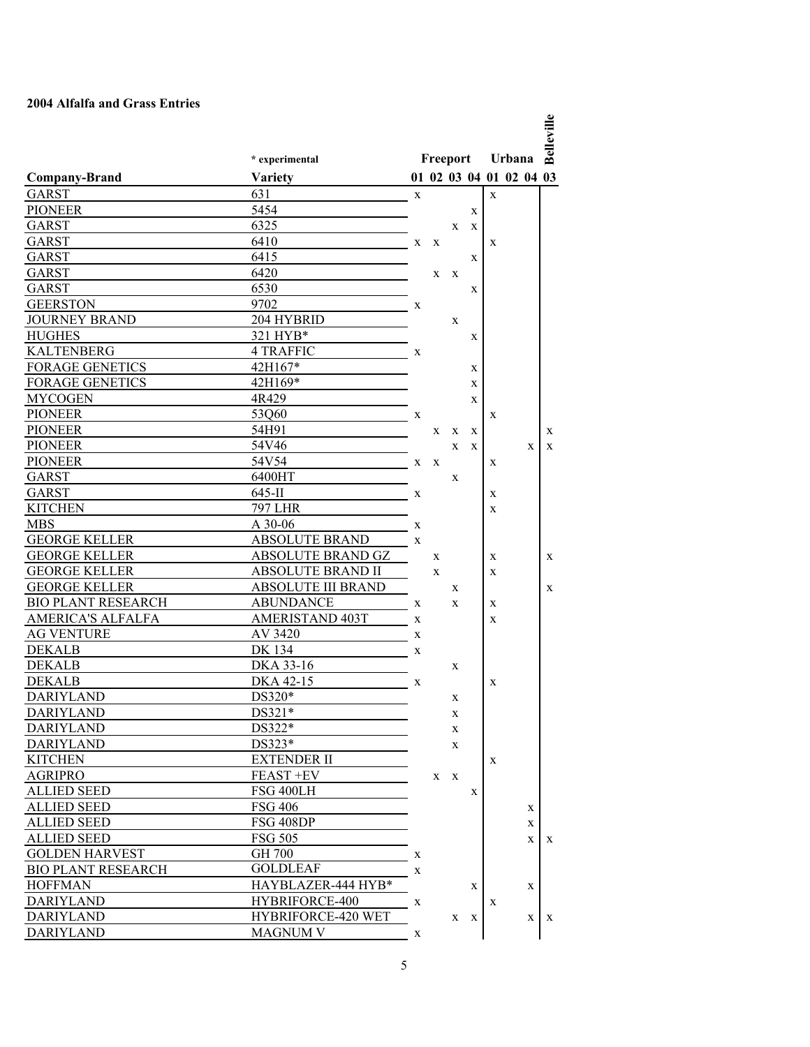## **2004 Alfalfa and Grass Entries**

|                                |                                        |          |   |              |              |   |                                   |    | Belleville |
|--------------------------------|----------------------------------------|----------|---|--------------|--------------|---|-----------------------------------|----|------------|
|                                |                                        | Freeport |   |              |              |   |                                   |    |            |
|                                | * experimental                         |          |   |              |              |   | Urbana<br>01 02 03 04 01 02 04 03 |    |            |
| <b>Company-Brand</b>           | <b>Variety</b><br>631                  |          |   |              |              |   |                                   |    |            |
| <b>GARST</b><br><b>PIONEER</b> | 5454                                   | X        |   |              |              | X |                                   |    |            |
| <b>GARST</b>                   | 6325                                   |          |   |              | X            |   |                                   |    |            |
| <b>GARST</b>                   | 6410                                   |          |   | X            | X            |   |                                   |    |            |
| <b>GARST</b>                   | 6415                                   | X        | X |              | X            | X |                                   |    |            |
| GARST                          | 6420                                   |          | X | X            |              |   |                                   |    |            |
| <b>GARST</b>                   | 6530                                   |          |   |              | X            |   |                                   |    |            |
| <b>GEERSTON</b>                | 9702                                   |          |   |              |              |   |                                   |    |            |
| <b>JOURNEY BRAND</b>           | 204 HYBRID                             | X        |   |              |              |   |                                   |    |            |
| <b>HUGHES</b>                  | 321 HYB*                               |          |   | X            |              |   |                                   |    |            |
| <b>KALTENBERG</b>              | 4 TRAFFIC                              |          |   |              | X            |   |                                   |    |            |
| <b>FORAGE GENETICS</b>         | 42H167*                                | X        |   |              |              |   |                                   |    |            |
| <b>FORAGE GENETICS</b>         | 42H169*                                |          |   |              | X            |   |                                   |    |            |
| <b>MYCOGEN</b>                 | 4R429                                  |          |   |              | X            |   |                                   |    |            |
| <b>PIONEER</b>                 |                                        |          |   |              | X            |   |                                   |    |            |
| <b>PIONEER</b>                 | 53Q60<br>54H91                         | X        |   |              |              | X |                                   |    |            |
|                                |                                        |          | X | X            | X            |   |                                   |    | X          |
| <b>PIONEER</b>                 | 54V46                                  |          |   | X            | X            |   |                                   | X  | X          |
| <b>PIONEER</b>                 | 54V54                                  | X        | X |              |              | X |                                   |    |            |
| GARST                          | 6400HT                                 |          |   | X            |              |   |                                   |    |            |
| GARST                          | $645$ -II                              | X        |   |              |              | X |                                   |    |            |
| <b>KITCHEN</b>                 | <b>797 LHR</b>                         |          |   |              |              | X |                                   |    |            |
| <b>MBS</b>                     | A 30-06                                | X        |   |              |              |   |                                   |    |            |
| <b>GEORGE KELLER</b>           | <b>ABSOLUTE BRAND</b>                  | X        |   |              |              |   |                                   |    |            |
| <b>GEORGE KELLER</b>           | ABSOLUTE BRAND GZ<br>ABSOLUTE BRAND II |          | X |              |              | X |                                   |    | X          |
| <b>GEORGE KELLER</b>           |                                        |          | X |              |              | X |                                   |    |            |
| <b>GEORGE KELLER</b>           | <b>ABSOLUTE III BRAND</b>              |          |   | X            |              |   |                                   |    | X          |
| <b>BIO PLANT RESEARCH</b>      | <b>ABUNDANCE</b>                       | X        |   | X            |              | X |                                   |    |            |
| AMERICA'S ALFALFA              | <b>AMERISTAND 403T</b>                 | X        |   |              |              | X |                                   |    |            |
| <b>AG VENTURE</b>              | AV 3420                                | X        |   |              |              |   |                                   |    |            |
| <b>DEKALB</b>                  | DK 134                                 | X        |   |              |              |   |                                   |    |            |
| <b>DEKALB</b>                  | DKA 33-16                              |          |   | X            |              |   |                                   |    |            |
| <b>DEKALB</b>                  | DKA 42-15                              | X        |   |              |              | X |                                   |    |            |
| <b>DARIYLAND</b>               | DS320*                                 |          |   | X            |              |   |                                   |    |            |
| DARIYLAND                      | DS321*                                 |          |   | X            |              |   |                                   |    |            |
| <b>DARIYLAND</b>               | DS322*                                 |          |   | X            |              |   |                                   |    |            |
| <b>DARIYLAND</b>               | DS323*                                 |          |   | X            |              |   |                                   |    |            |
| <b>KITCHEN</b>                 | <b>EXTENDER II</b>                     |          |   |              |              | X |                                   |    |            |
| <b>AGRIPRO</b>                 | FEAST +EV                              |          | X | $\mathbf{X}$ |              |   |                                   |    |            |
| ALLIED SEED                    | FSG 400LH                              |          |   |              | X            |   |                                   |    |            |
| ALLIED SEED                    | <b>FSG 406</b>                         |          |   |              |              |   |                                   | X  |            |
| <b>ALLIED SEED</b>             | FSG 408DP                              |          |   |              |              |   |                                   | X  |            |
| <b>ALLIED SEED</b>             | <b>FSG 505</b>                         |          |   |              |              |   |                                   | X  | X          |
| <b>GOLDEN HARVEST</b>          | <b>GH 700</b>                          | X        |   |              |              |   |                                   |    |            |
| <b>BIO PLANT RESEARCH</b>      | <b>GOLDLEAF</b>                        | X        |   |              |              |   |                                   |    |            |
| <b>HOFFMAN</b>                 | HAYBLAZER-444 HYB*                     |          |   |              | X            |   |                                   | X  |            |
| <b>DARIYLAND</b>               | HYBRIFORCE-400                         | X        |   |              |              | X |                                   |    |            |
| <b>DARIYLAND</b>               | HYBRIFORCE-420 WET                     |          |   | X            | $\mathbf{X}$ |   |                                   | X. | X          |
| <b>DARIYLAND</b>               | <b>MAGNUM V</b>                        | X        |   |              |              |   |                                   |    |            |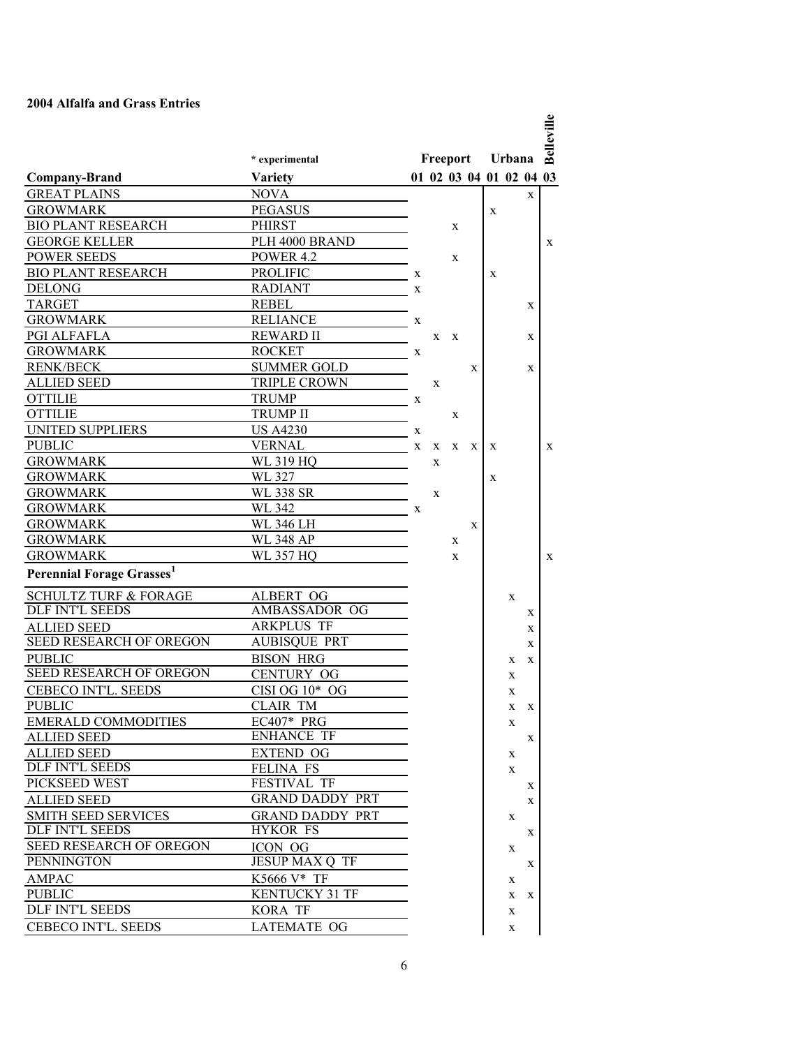## **2004 Alfalfa and Grass Entries**

|                                       |                        |   |          |   |   |                         |        |   | Belleville |
|---------------------------------------|------------------------|---|----------|---|---|-------------------------|--------|---|------------|
|                                       | * experimental         |   | Freeport |   |   |                         | Urbana |   |            |
| <b>Company-Brand</b>                  | <b>Variety</b>         |   |          |   |   | 01 02 03 04 01 02 04 03 |        |   |            |
| <b>GREAT PLAINS</b>                   | <b>NOVA</b>            |   |          |   |   |                         |        | X |            |
| <b>GROWMARK</b>                       | <b>PEGASUS</b>         |   |          |   |   | X                       |        |   |            |
| <b>BIO PLANT RESEARCH</b>             | PHIRST                 |   |          | X |   |                         |        |   |            |
| <b>GEORGE KELLER</b>                  | PLH 4000 BRAND         |   |          |   |   |                         |        |   | X          |
| <b>POWER SEEDS</b>                    | <b>POWER 4.2</b>       |   |          | X |   |                         |        |   |            |
| <b>BIO PLANT RESEARCH</b>             | <b>PROLIFIC</b>        | X |          |   |   | X                       |        |   |            |
| <b>DELONG</b>                         | <b>RADIANT</b>         | X |          |   |   |                         |        |   |            |
| <b>TARGET</b>                         | <b>REBEL</b>           |   |          |   |   |                         |        | X |            |
| <b>GROWMARK</b>                       | <b>RELIANCE</b>        | X |          |   |   |                         |        |   |            |
| PGI ALFAFLA                           | <b>REWARD II</b>       |   | X        | X |   |                         |        | X |            |
| <b>GROWMARK</b>                       | <b>ROCKET</b>          | X |          |   |   |                         |        |   |            |
| <b>RENK/BECK</b>                      | <b>SUMMER GOLD</b>     |   |          |   | X |                         |        | X |            |
| <b>ALLIED SEED</b>                    | <b>TRIPLE CROWN</b>    |   | X        |   |   |                         |        |   |            |
| <b>OTTILIE</b>                        | <b>TRUMP</b>           | X |          |   |   |                         |        |   |            |
| <b>OTTILIE</b>                        | <b>TRUMP II</b>        |   |          | X |   |                         |        |   |            |
| <b>UNITED SUPPLIERS</b>               | <b>US A4230</b>        | X |          |   |   |                         |        |   |            |
| <b>PUBLIC</b>                         | <b>VERNAL</b>          | X | X        | X | X | X                       |        |   | X          |
| <b>GROWMARK</b>                       | WL 319 HQ              |   | X        |   |   |                         |        |   |            |
| <b>GROWMARK</b>                       | WL 327                 |   |          |   |   | X                       |        |   |            |
| <b>GROWMARK</b>                       | <b>WL 338 SR</b>       |   | X        |   |   |                         |        |   |            |
| <b>GROWMARK</b>                       | WL 342<br>$\mathbf{x}$ |   |          |   |   |                         |        |   |            |
| <b>GROWMARK</b>                       | WL 346 LH              |   |          |   | X |                         |        |   |            |
| <b>GROWMARK</b>                       | WL 348 AP              |   |          | X |   |                         |        |   |            |
| <b>GROWMARK</b>                       | WL 357 HO              |   |          | X |   |                         |        |   | X          |
| Perennial Forage Grasses <sup>1</sup> |                        |   |          |   |   |                         |        |   |            |
| <b>SCHULTZ TURF &amp; FORAGE</b>      | ALBERT OG              |   |          |   |   |                         | X      |   |            |
| <b>DLF INT'L SEEDS</b>                | AMBASSADOR OG          |   |          |   |   |                         |        | X |            |
| <b>ALLIED SEED</b>                    | <b>ARKPLUS TF</b>      |   |          |   |   |                         |        | X |            |
| SEED RESEARCH OF OREGON               | <b>AUBISQUE PRT</b>    |   |          |   |   |                         |        | X |            |
| <b>PUBLIC</b>                         | <b>BISON HRG</b>       |   |          |   |   |                         | X      | X |            |
| SEED RESEARCH OF OREGON               | <b>CENTURY OG</b>      |   |          |   |   |                         | X      |   |            |
| <b>CEBECO INT'L. SEEDS</b>            | CISI OG $10*$ OG       |   |          |   |   |                         | X      |   |            |
| <b>PUBLIC</b>                         | CLAIR TM               |   |          |   |   |                         | X      | X |            |
| <b>EMERALD COMMODITIES</b>            | $EC407*PRG$            |   |          |   |   |                         | X      |   |            |
| <b>ALLIED SEED</b>                    | <b>ENHANCE TF</b>      |   |          |   |   |                         |        | X |            |
| <b>ALLIED SEED</b>                    | EXTEND OG              |   |          |   |   |                         | X      |   |            |
| <b>DLF INT'L SEEDS</b>                | <b>FELINA FS</b>       |   |          |   |   |                         | X      |   |            |
| PICKSEED WEST                         | <b>FESTIVAL TF</b>     |   |          |   |   |                         |        | X |            |
| <b>ALLIED SEED</b>                    | <b>GRAND DADDY PRT</b> |   |          |   |   |                         |        | X |            |
| <b>SMITH SEED SERVICES</b>            | <b>GRAND DADDY PRT</b> |   |          |   |   |                         | X      |   |            |
| <b>DLF INT'L SEEDS</b>                | <b>HYKOR FS</b>        |   |          |   |   |                         |        | X |            |
| <b>SEED RESEARCH OF OREGON</b>        | ICON OG                |   |          |   |   |                         | X      |   |            |
| <b>PENNINGTON</b>                     | <b>JESUP MAX Q TF</b>  |   |          |   |   |                         |        | X |            |
| AMPAC                                 | K5666 V* TF            |   |          |   |   |                         | X      |   |            |
| <b>PUBLIC</b>                         | <b>KENTUCKY 31 TF</b>  |   |          |   |   |                         | X      | X |            |
| DLF INT'L SEEDS                       | KORA TF                |   |          |   |   |                         | X      |   |            |
| <b>CEBECO INT'L. SEEDS</b>            | <b>LATEMATE OG</b>     |   |          |   |   |                         | X      |   |            |